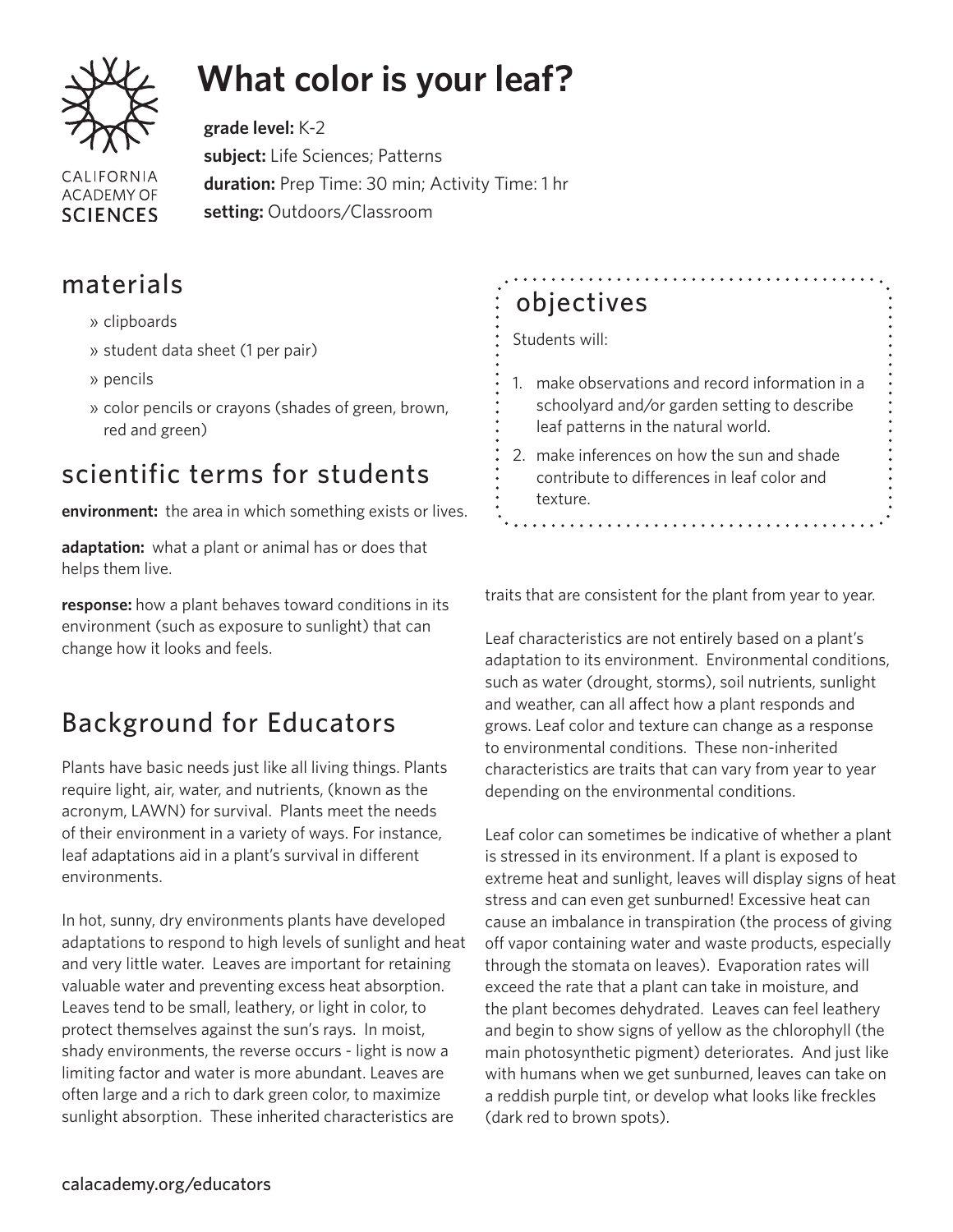

# **What color is your leaf?**

**grade level:** K-2 **subject:** Life Sciences; Patterns **CALIFORNIA duration:** Prep Time: 30 min; Activity Time: 1 hr **ACADEMY OF setting:** Outdoors/Classroom **SCIENCES** 

### materials

- » clipboards
- » student data sheet (1 per pair)
- » pencils
- » color pencils or crayons (shades of green, brown, red and green)

### scientific terms for students

**environment:** the area in which something exists or lives.

**adaptation:** what a plant or animal has or does that helps them live.

**response:** how a plant behaves toward conditions in its environment (such as exposure to sunlight) that can change how it looks and feels.

# Background for Educators

Plants have basic needs just like all living things. Plants require light, air, water, and nutrients, (known as the acronym, LAWN) for survival. Plants meet the needs of their environment in a variety of ways. For instance, leaf adaptations aid in a plant's survival in different environments.

In hot, sunny, dry environments plants have developed adaptations to respond to high levels of sunlight and heat and very little water. Leaves are important for retaining valuable water and preventing excess heat absorption. Leaves tend to be small, leathery, or light in color, to protect themselves against the sun's rays. In moist, shady environments, the reverse occurs - light is now a limiting factor and water is more abundant. Leaves are often large and a rich to dark green color, to maximize sunlight absorption. These inherited characteristics are

# objectives

#### Students will:

- 1. make observations and record information in a schoolyard and/or garden setting to describe leaf patterns in the natural world.
- 2. make inferences on how the sun and shade contribute to differences in leaf color and texture.

traits that are consistent for the plant from year to year.

Leaf characteristics are not entirely based on a plant's adaptation to its environment. Environmental conditions, such as water (drought, storms), soil nutrients, sunlight and weather, can all affect how a plant responds and grows. Leaf color and texture can change as a response to environmental conditions. These non-inherited characteristics are traits that can vary from year to year depending on the environmental conditions.

Leaf color can sometimes be indicative of whether a plant is stressed in its environment. If a plant is exposed to extreme heat and sunlight, leaves will display signs of heat stress and can even get sunburned! Excessive heat can cause an imbalance in transpiration (the process of giving off vapor containing water and waste products, especially through the stomata on leaves). Evaporation rates will exceed the rate that a plant can take in moisture, and the plant becomes dehydrated. Leaves can feel leathery and begin to show signs of yellow as the chlorophyll (the main photosynthetic pigment) deteriorates. And just like with humans when we get sunburned, leaves can take on a reddish purple tint, or develop what looks like freckles (dark red to brown spots).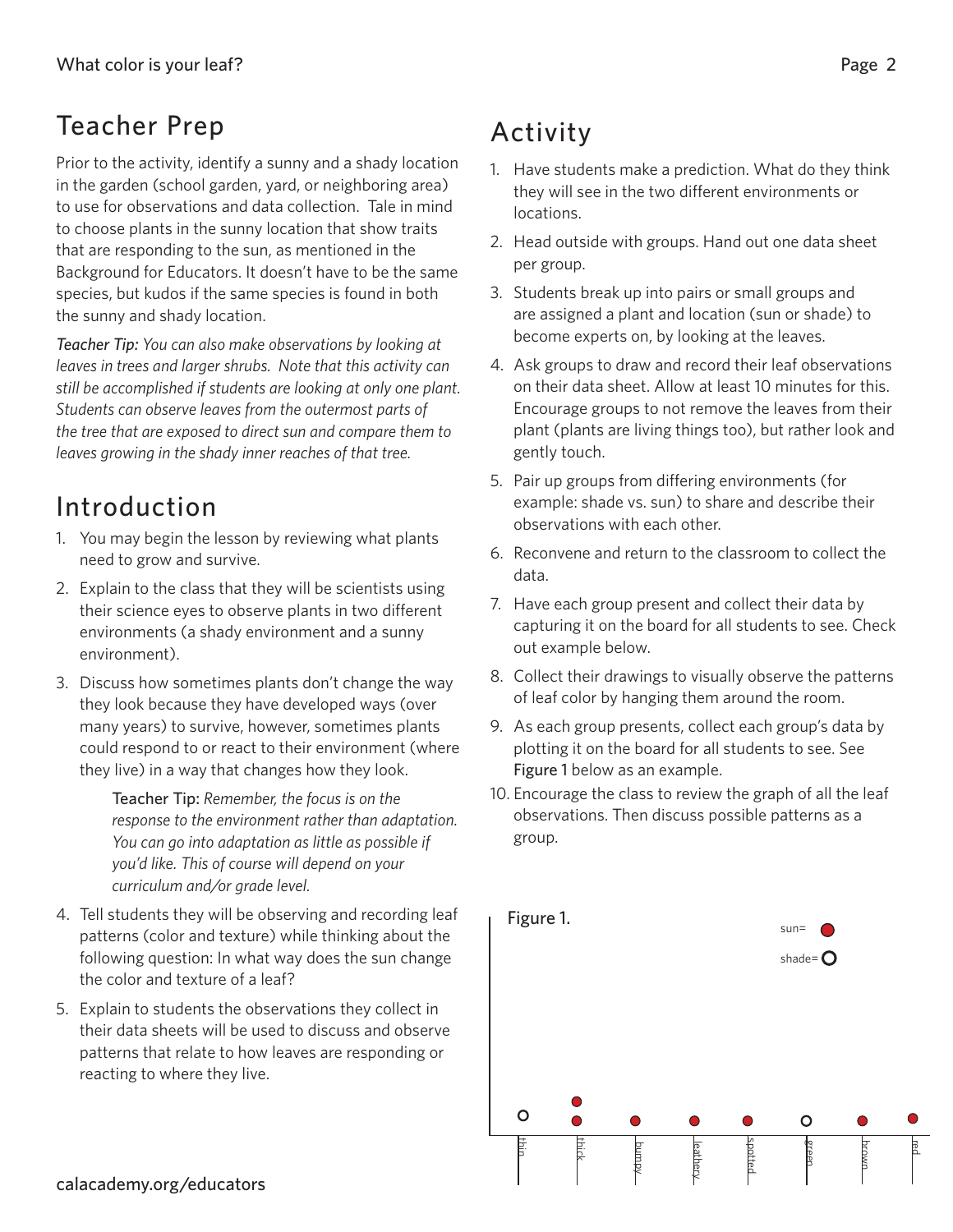### Teacher Prep

Prior to the activity, identify a sunny and a shady location in the garden (school garden, yard, or neighboring area) to use for observations and data collection. Tale in mind to choose plants in the sunny location that show traits that are responding to the sun, as mentioned in the Background for Educators. It doesn't have to be the same species, but kudos if the same species is found in both the sunny and shady location.

*Teacher Tip: You can also make observations by looking at leaves in trees and larger shrubs. Note that this activity can still be accomplished if students are looking at only one plant. Students can observe leaves from the outermost parts of the tree that are exposed to direct sun and compare them to leaves growing in the shady inner reaches of that tree.* 

# Introduction

- 1. You may begin the lesson by reviewing what plants need to grow and survive.
- 2. Explain to the class that they will be scientists using their science eyes to observe plants in two different environments (a shady environment and a sunny environment).
- 3. Discuss how sometimes plants don't change the way they look because they have developed ways (over many years) to survive, however, sometimes plants could respond to or react to their environment (where they live) in a way that changes how they look.

Teacher Tip: *Remember, the focus is on the response to the environment rather than adaptation. You can go into adaptation as little as possible if you'd like. This of course will depend on your curriculum and/or grade level.*

- 4. Tell students they will be observing and recording leaf patterns (color and texture) while thinking about the following question: In what way does the sun change the color and texture of a leaf?
- 5. Explain to students the observations they collect in their data sheets will be used to discuss and observe patterns that relate to how leaves are responding or reacting to where they live.

# Activity

- 1. Have students make a prediction. What do they think they will see in the two different environments or locations.
- 2. Head outside with groups. Hand out one data sheet per group.
- 3. Students break up into pairs or small groups and are assigned a plant and location (sun or shade) to become experts on, by looking at the leaves.
- 4. Ask groups to draw and record their leaf observations on their data sheet. Allow at least 10 minutes for this. Encourage groups to not remove the leaves from their plant (plants are living things too), but rather look and gently touch.
- 5. Pair up groups from differing environments (for example: shade vs. sun) to share and describe their observations with each other.
- 6. Reconvene and return to the classroom to collect the data.
- 7. Have each group present and collect their data by capturing it on the board for all students to see. Check out example below.
- 8. Collect their drawings to visually observe the patterns of leaf color by hanging them around the room.
- 9. As each group presents, collect each group's data by plotting it on the board for all students to see. See Figure 1 below as an example.
- 10. Encourage the class to review the graph of all the leaf observations. Then discuss possible patterns as a group.

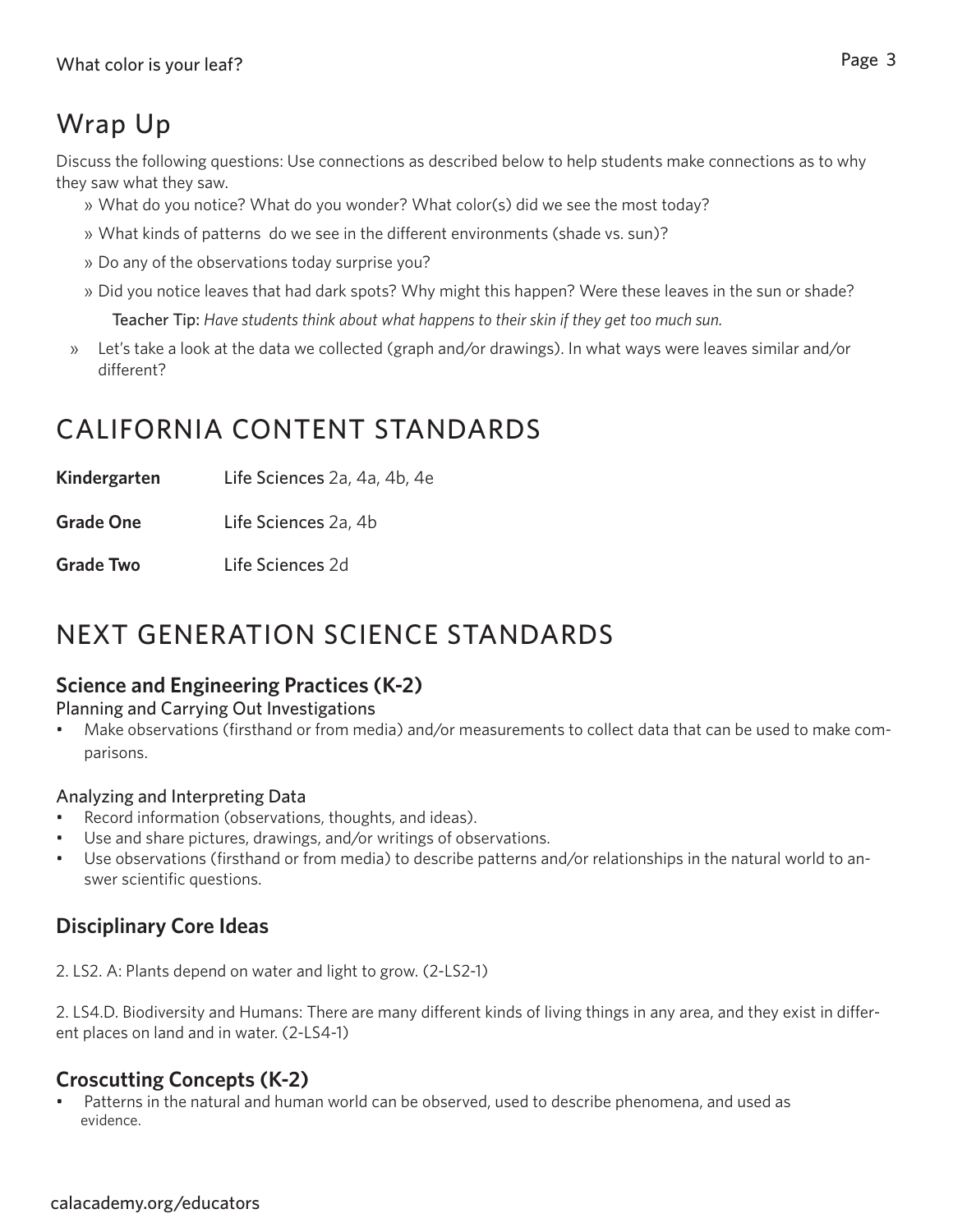# Wrap Up

Discuss the following questions: Use connections as described below to help students make connections as to why they saw what they saw.

- » What do you notice? What do you wonder? What color(s) did we see the most today?
- » What kinds of patterns do we see in the different environments (shade vs. sun)?
- » Do any of the observations today surprise you?
- » Did you notice leaves that had dark spots? Why might this happen? Were these leaves in the sun or shade?

Teacher Tip: *Have students think about what happens to their skin if they get too much sun.*

» Let's take a look at the data we collected (graph and/or drawings). In what ways were leaves similar and/or different?

### CALIFORNIA CONTENT STANDARDS

**Kindergarten** Life Sciences 2a, 4a, 4b, 4e

**Grade One** Life Sciences 2a, 4b

**Grade Two** Life Sciences 2d

### NEXT GENERATION SCIENCE STANDARDS

#### **Science and Engineering Practices (K-2)**

Planning and Carrying Out Investigations

Make observations (firsthand or from media) and/or measurements to collect data that can be used to make comparisons.

#### Analyzing and Interpreting Data

- Record information (observations, thoughts, and ideas).
- Use and share pictures, drawings, and/or writings of observations.
- Use observations (firsthand or from media) to describe patterns and/or relationships in the natural world to answer scientific questions.

#### **Disciplinary Core Ideas**

2. LS2. A: Plants depend on water and light to grow. (2-LS2-1)

2. LS4.D. Biodiversity and Humans: There are many different kinds of living things in any area, and they exist in different places on land and in water. (2-LS4-1)

#### **Croscutting Concepts (K-2)**

Patterns in the natural and human world can be observed, used to describe phenomena, and used as evidence.